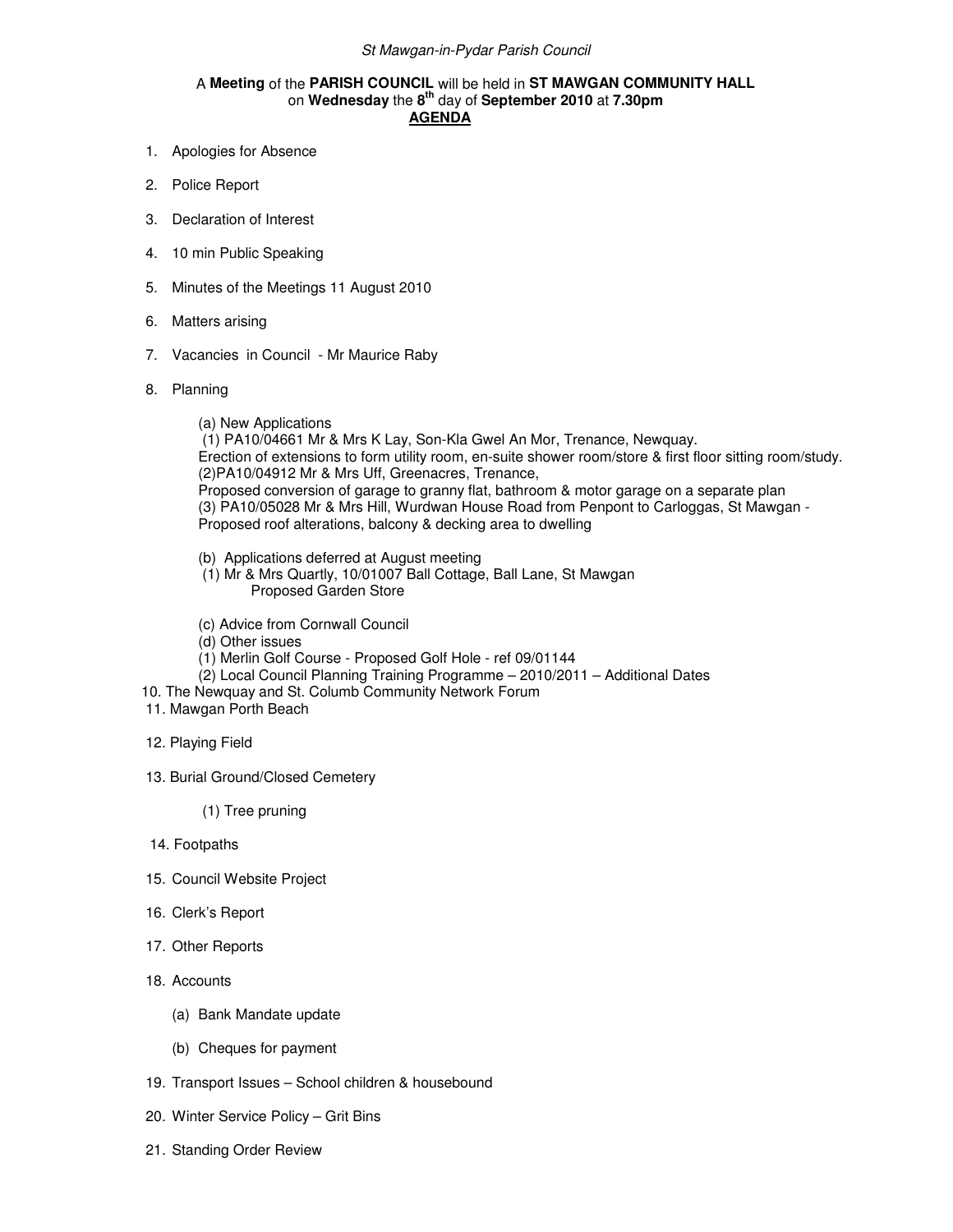## A **Meeting** of the **PARISH COUNCIL** will be held in **ST MAWGAN COMMUNITY HALL** on **Wednesday** the **8th** day of **September 2010** at **7.30pm AGENDA**

- 1. Apologies for Absence
- 2. Police Report
- 3. Declaration of Interest
- 4. 10 min Public Speaking
- 5. Minutes of the Meetings 11 August 2010
- 6. Matters arising
- 7. Vacancies in Council Mr Maurice Raby
- 8. Planning
	- (a) New Applications

 (1) PA10/04661 Mr & Mrs K Lay, Son-Kla Gwel An Mor, Trenance, Newquay. Erection of extensions to form utility room, en-suite shower room/store & first floor sitting room/study. (2)PA10/04912 Mr & Mrs Uff, Greenacres, Trenance, Proposed conversion of garage to granny flat, bathroom & motor garage on a separate plan (3) PA10/05028 Mr & Mrs Hill, Wurdwan House Road from Penpont to Carloggas, St Mawgan - Proposed roof alterations, balcony & decking area to dwelling

- (b) Applications deferred at August meeting
- (1) Mr & Mrs Quartly, 10/01007 Ball Cottage, Ball Lane, St Mawgan Proposed Garden Store
- (c) Advice from Cornwall Council
- (d) Other issues
- (1) Merlin Golf Course Proposed Golf Hole ref 09/01144
- $(2)$  Local Council Planning Training Programme 2010/2011 Additional Dates
- 10. The Newquay and St. Columb Community Network Forum
- 11. Mawgan Porth Beach
- 12. Playing Field
- 13. Burial Ground/Closed Cemetery
	- (1) Tree pruning
- 14. Footpaths
- 15. Council Website Project
- 16. Clerk's Report
- 17. Other Reports
- 18. Accounts
	- (a) Bank Mandate update
	- (b) Cheques for payment
- 19. Transport Issues School children & housebound
- 20. Winter Service Policy Grit Bins
- 21. Standing Order Review